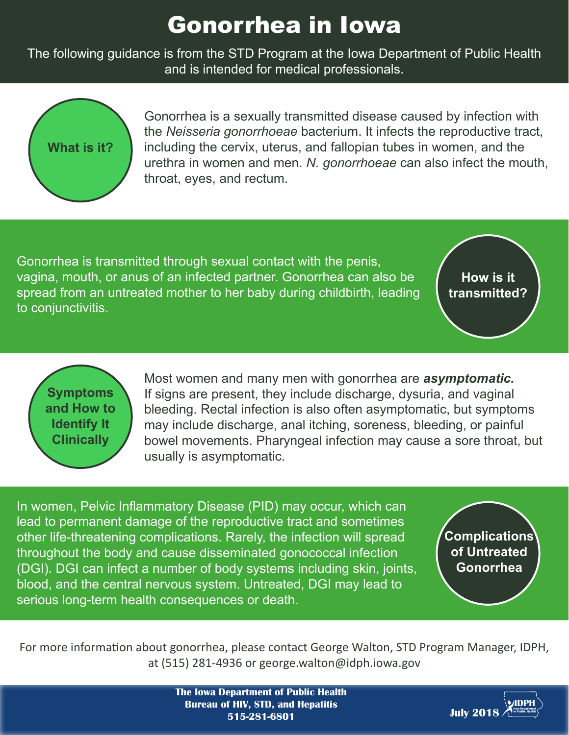## Gonorrhea in Iowa

The following guidance is from the STD Program at the Iowa Department of Public Health and is intended for medical professionals.



Gonorrhea is a sexually transmitted disease caused by infection with the *Neisseria gonorrhoeae* bacterium. It infects the reproductive tract, including the cervix, uterus, and fallopian tubes in women, and the urethra in women and men. *N. gonorrhoeae* can also infect the mouth, throat, eyes, and rectum.

Gonorrhea is transmitted through sexual contact with the penis, vagina, mouth, or anus of an infected partner. Gonorrhea can also be spread from an untreated mother to her baby during childbirth, leading to conjunctivitis.

**How is it transmitted?**

**Symptoms and How to Identify It Clinically**

Most women and many men with gonorrhea are *asymptomatic.* If signs are present, they include discharge, dysuria, and vaginal bleeding. Rectal infection is also often asymptomatic, but symptoms may include discharge, anal itching, soreness, bleeding, or painful bowel movements. Pharyngeal infection may cause a sore throat, but usually is asymptomatic.

In women, Pelvic Inflammatory Disease (PID) may occur, which can lead to permanent damage of the reproductive tract and sometimes other life-threatening complications. Rarely, the infection will spread throughout the body and cause disseminated gonococcal infection (DGI). DGI can infect a number of body systems including skin, joints, blood, and the central nervous system. Untreated, DGI may lead to serious long-term health consequences or death.

**Complications of Untreated Gonorrhea**

For more information about gonorrhea, please contact George Walton, STD Program Manager, IDPH, at (515) 281-4936 or george.walton@idph.iowa.gov